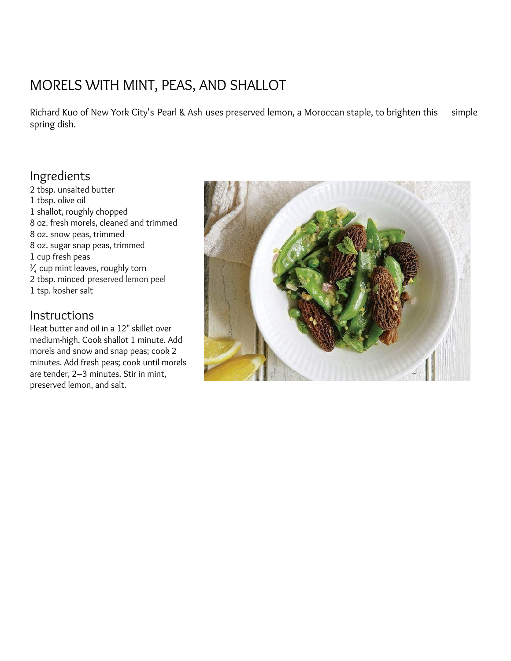## MORELS WITH MINT, PEAS, AND [SHALLOT](http://www.saveur.com/article/recipes/morels-with-mint-peas-and-shallot)

Richard Kuo of New York City's [Pearl](http://www.pearlandash.com/) & Ash uses preserved lemon, a Moroccan staple, to brighten this simple spring dish.

## Ingredients

 tbsp. unsalted butter tbsp. olive oil shallot, roughly chopped oz. fresh morels, cleaned and trimmed oz. snow peas, trimmed oz. sugar snap peas, trimmed cup fresh peas  $\frac{3}{4}$  cup mint leaves, roughly torn tbsp. minced [preserved](http://www.saveur.com/article/Recipes/Classic-Preserved-Lemons) lemon peel tsp. kosher salt

### Instructions

Heat butter and oil in a 12" skillet over medium-high. Cook shallot 1 minute. Add morels and snow and snap peas; cook 2 minutes. Add fresh peas; cook until morels are tender, 2–3 minutes. Stir in mint, preserved lemon, and salt.

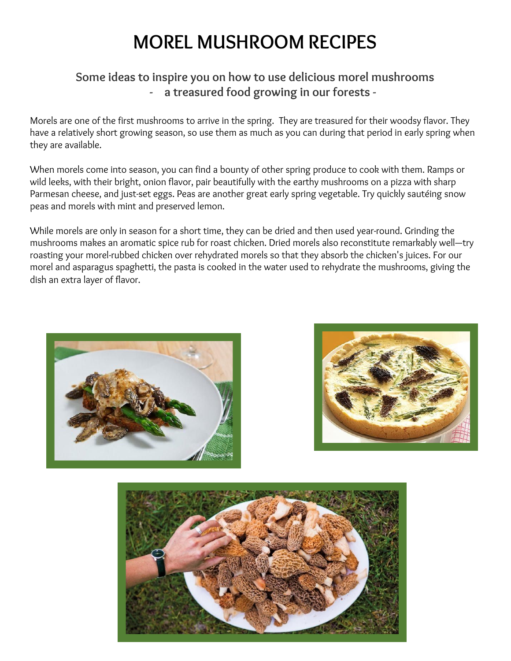# **MOREL MUSHROOM RECIPES**

### **Some ideas to inspire you on how to use delicious morel mushrooms - a treasured food growing in our forests -**

Morels are one of the first mushrooms to arrive in the spring. They are treasured for their woodsy flavor. They have a relatively short growing season, so use them as much as you can during that period in early spring when they are available.

When morels come into season, you can find a bounty of other spring produce to cook with them. Ramps or wild leeks, with their bright, onion flavor, pair beautifully with the earthy mushrooms on a pizza with sharp Parmesan cheese, and just-set eggs. Peas are another great early spring vegetable. Try quickly sautéing snow peas and morels with mint and preserved lemon.

While morels are only in season for a short time, they can be dried and then used year-round. Grinding the mushrooms makes an aromatic spice rub for roast chicken. Dried morels also reconstitute remarkably well—try roasting your morel-rubbed chicken over rehydrated morels so that they absorb the chicken's juices. For our morel and asparagus spaghetti, the pasta is cooked in the water used to rehydrate the mushrooms, giving the dish an extra layer of flavor.





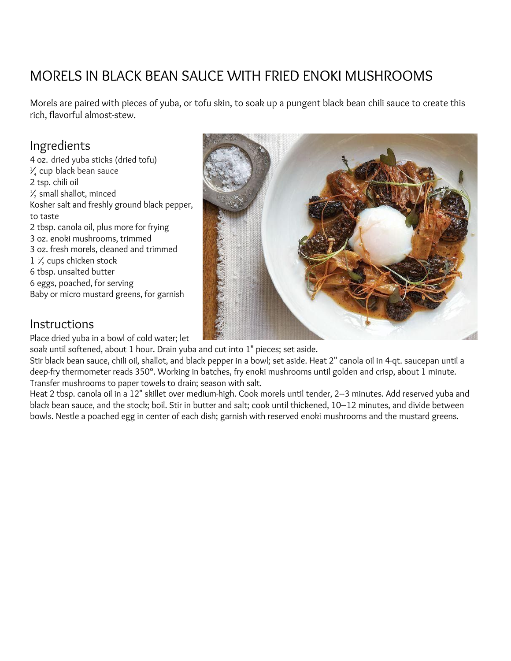## MORELS IN BLACK BEAN SAUCE WITH FRIED ENOKI [MUSHROOMS](https://www.saveur.com/article/recipes/morels-black-bean-sauce-with-enoki-mushrooms)

Morels are paired with pieces of yuba, or tofu skin, to soak up a pungent black bean chili sauce to create this rich, flavorful almost-stew.

### Ingredients

 oz. dried yuba [sticks](http://www.onlinefoodgrocery.com/) (dried tofu)  $\frac{1}{4}$  cup black bean [sauce](http://lkk.elsstore.com/retailer/store_templates/shell_id_1.asp?storeID=1F8AB811702D40A6AC412F442ED4ECE8) tsp. chili oil  $\frac{1}{2}$  small shallot, minced Kosher salt and freshly ground black pepper, to taste tbsp. canola oil, plus more for frying oz. enoki mushrooms, trimmed oz. fresh morels, cleaned and trimmed 1 ⁄<sup>2</sup> cups chicken stock tbsp. unsalted butter eggs, poached, for serving Baby or micro mustard greens, for garnish

### **Instructions**

Place dried yuba in a bowl of cold water; let

soak until softened, about 1 hour. Drain yuba and cut into 1" pieces; set aside.

Stir black bean sauce, chili oil, shallot, and black pepper in a bowl; set aside. Heat 2" canola oil in 4-qt. saucepan until a deep-fry thermometer reads 350°. Working in batches, fry enoki mushrooms until golden and crisp, about 1 minute. Transfer mushrooms to paper towels to drain; season with salt.

Heat 2 tbsp. canola oil in a 12" skillet over medium-high. Cook morels until tender, 2–3 minutes. Add reserved yuba and black bean sauce, and the stock; boil. Stir in butter and salt; cook until thickened, 10–12 minutes, and divide between bowls. Nestle a poached egg in center of each dish; garnish with reserved enoki mushrooms and the mustard greens.

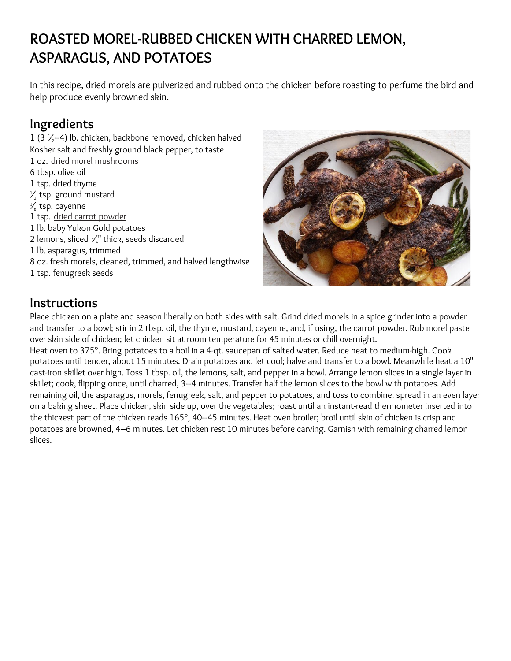## **ROASTED [MOREL-RUBBED](https://www.saveur.com/article/recipes/morel-rubbed-roasted-chicken-with-charred-lemon-asparagus-and-potatoes) CHICKEN WITH CHARRED LEMON, [ASPARAGUS,](https://www.saveur.com/article/recipes/morel-rubbed-roasted-chicken-with-charred-lemon-asparagus-and-potatoes) AND POTATOES**

In this recipe, dried morels are pulverized and rubbed onto the chicken before roasting to perfume the bird and help produce evenly browned skin.

## **Ingredients**

1 (3 $\frac{1}{2}$ –4) lb. chicken, backbone removed, chicken halved Kosher salt and freshly ground black pepper, to taste oz. dried morel [mushrooms](http://kalustyans.com/) tbsp. olive oil tsp. dried thyme  $\frac{1}{2}$  tsp. ground mustard  $\frac{1}{8}$  tsp. cayenne tsp. dried carrot [powder](http://www.znaturalfoods.com/) lb. baby Yukon Gold potatoes 2 lemons, sliced  $\frac{1}{4}$ " thick, seeds discarded lb. asparagus, trimmed oz. fresh morels, cleaned, trimmed, and halved lengthwise tsp. fenugreek seeds



### **Instructions**

Place chicken on a plate and season liberally on both sides with salt. Grind dried morels in a spice grinder into a powder and transfer to a bowl; stir in 2 tbsp. oil, the thyme, mustard, cayenne, and, if using, the carrot powder. Rub morel paste over skin side of chicken; let chicken sit at room temperature for 45 minutes or chill overnight.

Heat oven to 375°. Bring potatoes to a boil in a 4-qt. saucepan of salted water. Reduce heat to medium-high. Cook potatoes until tender, about 15 minutes. Drain potatoes and let cool; halve and transfer to a bowl. Meanwhile heat a 10" cast-iron skillet over high. Toss 1 tbsp. oil, the lemons, salt, and pepper in a bowl. Arrange lemon slices in a single layer in skillet; cook, flipping once, until charred, 3–4 minutes. Transfer half the lemon slices to the bowl with potatoes. Add remaining oil, the asparagus, morels, fenugreek, salt, and pepper to potatoes, and toss to combine; spread in an even layer on a baking sheet. Place chicken, skin side up, over the vegetables; roast until an instant-read thermometer inserted into the thickest part of the chicken reads 165°, 40–45 minutes. Heat oven broiler; broil until skin of chicken is crisp and potatoes are browned, 4–6 minutes. Let chicken rest 10 minutes before carving. Garnish with remaining charred lemon slices.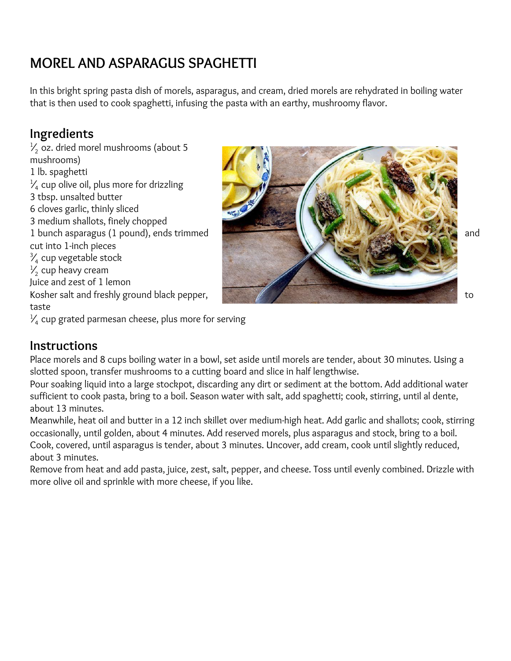## **MOREL AND [ASPARAGUS](https://www.saveur.com/article/Recipes/Morel-and-Asparagus-Spaghetti) SPAGHETTI**

In this bright spring pasta dish of morels, asparagus, and cream, dried morels are rehydrated in boiling water that is then used to cook spaghetti, infusing the pasta with an earthy, mushroomy flavor.

## **Ingredients**

 $\frac{1}{2}$  oz. dried morel mushrooms (about 5 mushrooms) 1 lb. spaghetti  $\frac{1}{4}$  cup olive oil, plus more for drizzling 3 tbsp. unsalted butter 6 cloves garlic, thinly sliced 3 medium shallots, finely chopped cut into 1-inch pieces  $\frac{3}{4}$  cup vegetable stock  $\frac{1}{2}$  cup heavy cream Juice and zest of 1 lemon taste



 $\frac{1}{4}$  cup grated parmesan cheese, plus more for serving

### **Instructions**

Place morels and 8 cups boiling water in a bowl, set aside until morels are tender, about 30 minutes. Using a slotted spoon, transfer mushrooms to a cutting board and slice in half lengthwise.

Pour soaking liquid into a large stockpot, discarding any dirt or sediment at the bottom. Add additional water sufficient to cook pasta, bring to a boil. Season water with salt, add spaghetti; cook, stirring, until al dente, about 13 minutes.

Meanwhile, heat oil and butter in a 12 inch skillet over medium-high heat. Add garlic and shallots; cook, stirring occasionally, until golden, about 4 minutes. Add reserved morels, plus asparagus and stock, bring to a boil. Cook, covered, until asparagus is tender, about 3 minutes. Uncover, add cream, cook until slightly reduced, about 3 minutes.

Remove from heat and add pasta, juice, zest, salt, pepper, and cheese. Toss until evenly combined. Drizzle with more olive oil and sprinkle with more cheese, if you like.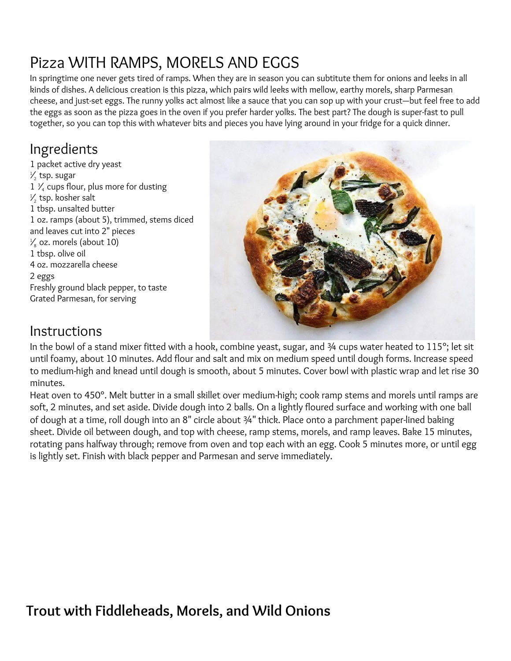# Pizza WITH RAMPS, MORELS AND EGGS

In springtime one never gets tired of ramps. When they are in season you can subtitute them for onions and leeks in all kinds of dishes. A delicious creation is this pizza, which pairs wild leeks with mellow, earthy morels, sharp Parmesan cheese, and just-set eggs. The runny yolks act almost like a sauce that you can sop up with your crust—but feel free to add the eggs as soon as the pizza goes in the oven if you prefer harder yolks. The best part? The dough is super-fast to pull together, so you can top this with whatever bits and pieces you have lying around in your fridge for a quick dinner.

## Ingredients

1 packet active dry yeast  $\frac{1}{2}$  tsp. sugar 1 3 ⁄<sup>4</sup> cups flour, plus more for dusting  $\frac{1}{2}$  tsp. kosher salt 1 tbsp. unsalted butter 1 oz. ramps (about 5), trimmed, stems diced and leaves cut into 2" pieces  $\frac{1}{8}$  oz. morels (about 10) 1 tbsp. olive oil 4 oz. mozzarella cheese 2 eggs Freshly ground black pepper, to taste Grated Parmesan, for serving



## Instructions

In the bowl of a stand mixer fitted with a hook, combine yeast, sugar, and 3/4 cups water heated to 115°; let sit until foamy, about 10 minutes. Add flour and salt and mix on medium speed until dough forms. Increase speed to medium-high and knead until dough is smooth, about 5 minutes. Cover bowl with plastic wrap and let rise 30 minutes.

Heat oven to 450°. Melt butter in a small skillet over medium-high; cook ramp stems and morels until ramps are soft, 2 minutes, and set aside. Divide dough into 2 balls. On a lightly floured surface and working with one ball of dough at a time, roll dough into an 8" circle about ¾" thick. Place onto a parchment paper-lined baking sheet. Divide oil between dough, and top with cheese, ramp stems, morels, and ramp leaves. Bake 15 minutes, rotating pans halfway through; remove from oven and top each with an egg. Cook 5 minutes more, or until egg is lightly set. Finish with black pepper and Parmesan and serve immediately.

## **Trout with Fiddleheads, Morels, and Wild Onions**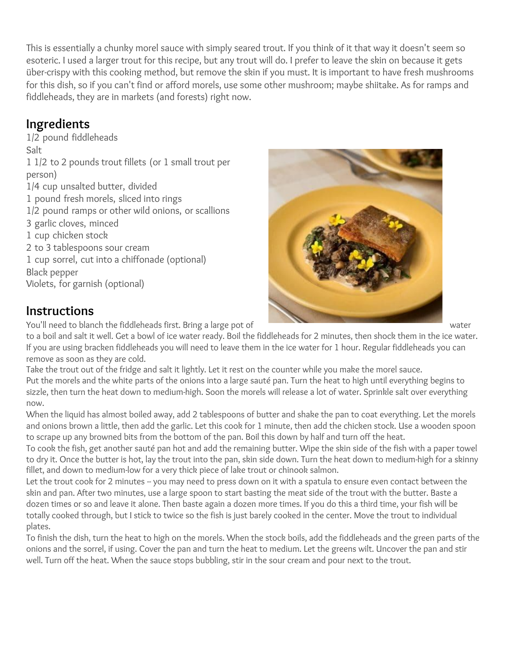This is essentially a chunky morel sauce with simply seared trout. If you think of it that way it doesn't seem so esoteric. I used a larger trout for this recipe, but any trout will do. I prefer to leave the skin on because it gets über-crispy with this cooking method, but remove the skin if you must. It is important to have fresh mushrooms for this dish, so if you can't find or afford morels, use some other mushroom; maybe shiitake. As for ramps and fiddleheads, they are in markets (and forests) right now.

## **Ingredients**

1/2 pound fiddleheads Salt 1 1/2 to 2 pounds trout fillets (or 1 small trout per person) 1/4 cup unsalted butter, divided 1 pound fresh morels, sliced into rings 1/2 pound ramps or other wild onions, or scallions 3 garlic cloves, minced 1 cup chicken stock 2 to 3 tablespoons sour cream 1 cup sorrel, cut into a chiffonade (optional) Black pepper Violets, for garnish (optional)

## **Instructions**

You'll need to blanch the fiddleheads first. Bring a large pot of water

to a boil and salt it well. Get a bowl of ice water ready. Boil the fiddleheads for 2 minutes, then shock them in the ice water. If you are using bracken fiddleheads you will need to leave them in the ice water for 1 hour. Regular fiddleheads you can remove as soon as they are cold.

Take the trout out of the fridge and salt it lightly. Let it rest on the counter while you make the morel sauce. Put the morels and the white parts of the onions into a large sauté pan. Turn the heat to high until everything begins to sizzle, then turn the heat down to medium-high. Soon the morels will release a lot of water. Sprinkle salt over everything now.

When the liquid has almost boiled away, add 2 tablespoons of butter and shake the pan to coat everything. Let the morels and onions brown a little, then add the garlic. Let this cook for 1 minute, then add the chicken stock. Use a wooden spoon to scrape up any browned bits from the bottom of the pan. Boil this down by half and turn off the heat.

To cook the fish, get another sauté pan hot and add the remaining butter. Wipe the skin side of the fish with a paper towel to dry it. Once the butter is hot, lay the trout into the pan, skin side down. Turn the heat down to medium-high for a skinny fillet, and down to medium-low for a very thick piece of lake trout or chinook salmon.

Let the trout cook for 2 minutes -- you may need to press down on it with a spatula to ensure even contact between the skin and pan. After two minutes, use a large spoon to start basting the meat side of the trout with the butter. Baste a dozen times or so and leave it alone. Then baste again a dozen more times. If you do this a third time, your fish will be totally cooked through, but I stick to twice so the fish is just barely cooked in the center. Move the trout to individual plates.

To finish the dish, turn the heat to high on the morels. When the stock boils, add the fiddleheads and the green parts of the onions and the sorrel, if using. Cover the pan and turn the heat to medium. Let the greens wilt. Uncover the pan and stir well. Turn off the heat. When the sauce stops bubbling, stir in the sour cream and pour next to the trout.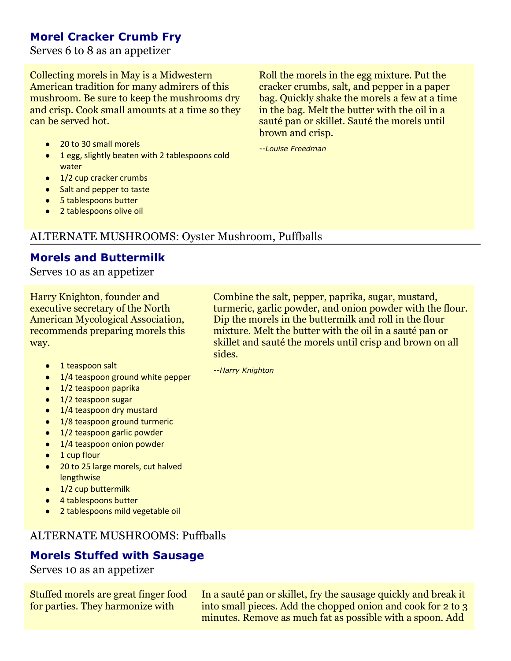### **Morel Cracker Crumb Fry**

Serves 6 to 8 as an appetizer

Collecting morels in May is a Midwestern American tradition for many admirers of this mushroom. Be sure to keep the mushrooms dry and crisp. Cook small amounts at a time so they can be served hot.

- 20 to 30 small morels
- 1 egg, slightly beaten with 2 tablespoons cold water
- 1/2 cup cracker crumbs
- Salt and pepper to taste
- 5 tablespoons butter
- 2 tablespoons olive oil

### ALTERNATE MUSHROOMS: Oyster Mushroom, Puffballs

#### **Morels and Buttermilk**

Serves 10 as an appetizer

Harry Knighton, founder and executive secretary of the North American Mycological Association, recommends preparing morels this way.

- 1 teaspoon salt
- 1/4 teaspoon ground white pepper
- 1/2 teaspoon paprika
- 1/2 teaspoon sugar
- 1/4 teaspoon dry mustard
- 1/8 teaspoon ground turmeric
- 1/2 teaspoon garlic powder
- 1/4 teaspoon onion powder
- 1 cup flour
- 20 to 25 large morels, cut halved lengthwise
- 1/2 cup buttermilk
- 4 tablespoons butter
- 2 tablespoons mild vegetable oil

#### ALTERNATE MUSHROOMS: Puffballs

### **Morels Stuffed with Sausage**

Serves 10 as an appetizer

Stuffed morels are great finger food for parties. They harmonize with

In a sauté pan or skillet, fry the sausage quickly and break it into small pieces. Add the chopped onion and cook for 2 to 3 minutes. Remove as much fat as possible with a spoon. Add

Roll the morels in the egg mixture. Put the cracker crumbs, salt, and pepper in a paper bag. Quickly shake the morels a few at a time in the bag. Melt the butter with the oil in a sauté pan or skillet. Sauté the morels until brown and crisp.

*--Louise Freedman*

Combine the salt, pepper, paprika, sugar, mustard, turmeric, garlic powder, and onion powder with the flour. Dip the morels in the buttermilk and roll in the flour mixture. Melt the butter with the oil in a sauté pan or skillet and sauté the morels until crisp and brown on all sides.

*--Harry Knighton*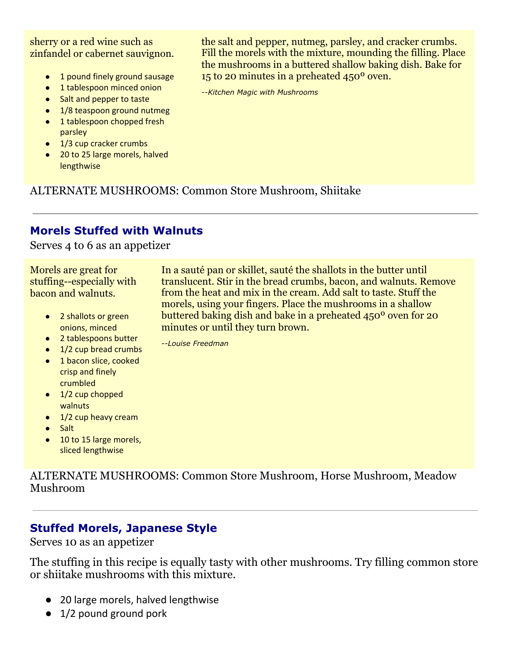sherry or a red wine such as zinfandel or cabernet sauvignon.

- 1 pound finely ground sausage
- 1 tablespoon minced onion
- Salt and pepper to taste
- 1/8 teaspoon ground nutmeg
- 1 tablespoon chopped fresh parsley
- 1/3 cup cracker crumbs
- 20 to 25 large morels, halved lengthwise

the salt and pepper, nutmeg, parsley, and cracker crumbs. Fill the morels with the mixture, mounding the filling. Place the mushrooms in a buttered shallow baking dish. Bake for 15 to 20 minutes in a preheated 450º oven.

*--Kitchen Magic with Mushrooms*

ALTERNATE MUSHROOMS: Common Store Mushroom, Shiitake

#### **Morels Stuffed with Walnuts**

Serves 4 to 6 as an appetizer

Morels are great for stuffing--especially with bacon and walnuts.

- 2 shallots or green onions, minced
- 2 tablespoons butter
- 1/2 cup bread crumbs
- 1 bacon slice, cooked crisp and finely crumbled
- $\bullet$  1/2 cup chopped **walnuts**
- 1/2 cup heavy cream
- Salt
- 10 to 15 large morels, sliced lengthwise

ALTERNATE MUSHROOMS: Common Store Mushroom, Horse Mushroom, Meadow Mushroom

### **Stuffed Morels, Japanese Style**

Serves 10 as an appetizer

The stuffing in this recipe is equally tasty with other mushrooms. Try filling common store or shiitake mushrooms with this mixture.

- 20 large morels, halved lengthwise
- 1/2 pound ground pork

In a sauté pan or skillet, sauté the shallots in the butter until translucent. Stir in the bread crumbs, bacon, and walnuts. Remove from the heat and mix in the cream. Add salt to taste. Stuff the morels, using your fingers. Place the mushrooms in a shallow buttered baking dish and bake in a preheated 450º oven for 20 minutes or until they turn brown.

*--Louise Freedman*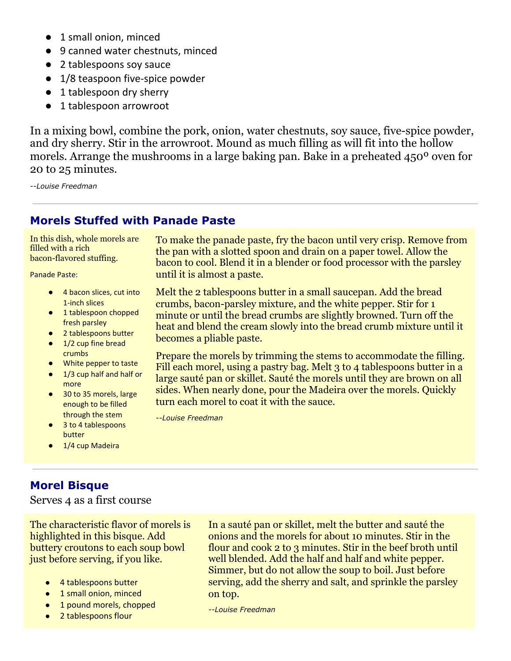- 1 small onion, minced
- 9 canned water chestnuts, minced
- 2 tablespoons soy sauce
- 1/8 teaspoon five-spice powder
- 1 tablespoon dry sherry
- 1 tablespoon arrowroot

In a mixing bowl, combine the pork, onion, water chestnuts, soy sauce, five-spice powder, and dry sherry. Stir in the arrowroot. Mound as much filling as will fit into the hollow morels. Arrange the mushrooms in a large baking pan. Bake in a preheated 450º oven for 20 to 25 minutes.

*--Louise Freedman*

### **Morels Stuffed with Panade Paste**

In this dish, whole morels are filled with a rich bacon-flavored stuffing.

Panade Paste:

- 4 bacon slices, cut into 1-inch slices
- 1 tablespoon chopped fresh parsley
- 2 tablespoons butter
- 1/2 cup fine bread crumbs
- White pepper to taste
- 1/3 cup half and half or more
- 30 to 35 morels, large enough to be filled through the stem
- 3 to 4 tablespoons butter
- 1/4 cup Madeira

**Morel Bisque**

Serves 4 as a first course

The characteristic flavor of morels is highlighted in this bisque. Add buttery croutons to each soup bowl just before serving, if you like.

- 4 tablespoons butter
- 1 small onion, minced
- 1 pound morels, chopped
- 2 tablespoons flour

To make the panade paste, fry the bacon until very crisp. Remove from the pan with a slotted spoon and drain on a paper towel. Allow the bacon to cool. Blend it in a blender or food processor with the parsley until it is almost a paste.

Melt the 2 tablespoons butter in a small saucepan. Add the bread crumbs, bacon-parsley mixture, and the white pepper. Stir for 1 minute or until the bread crumbs are slightly browned. Turn off the heat and blend the cream slowly into the bread crumb mixture until it becomes a pliable paste.

Prepare the morels by trimming the stems to accommodate the filling. Fill each morel, using a pastry bag. Melt 3 to 4 tablespoons butter in a large sauté pan or skillet. Sauté the morels until they are brown on all sides. When nearly done, pour the Madeira over the morels. Quickly turn each morel to coat it with the sauce.

*--Louise Freedman*

In a sauté pan or skillet, melt the butter and sauté the onions and the morels for about 10 minutes. Stir in the flour and cook 2 to 3 minutes. Stir in the beef broth until well blended. Add the half and half and white pepper. Simmer, but do not allow the soup to boil. Just before serving, add the sherry and salt, and sprinkle the parsley on top.

*--Louise Freedman*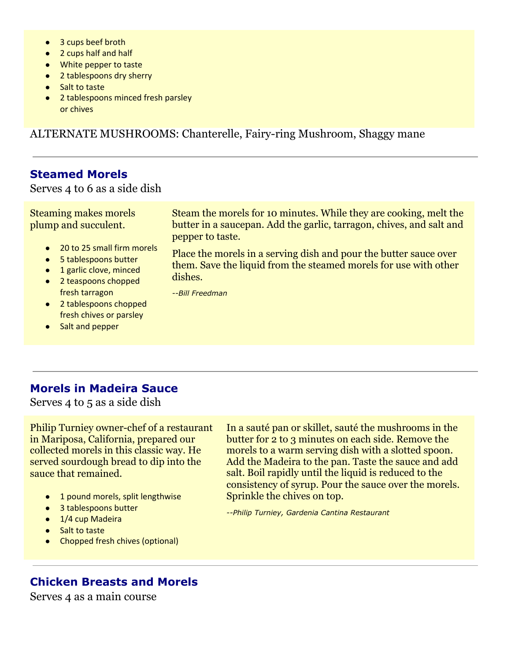- 3 cups beef broth
- 2 cups half and half
- White pepper to taste
- 2 tablespoons dry sherry
- Salt to taste
- 2 tablespoons minced fresh parsley or chives

ALTERNATE MUSHROOMS: Chanterelle, Fairy-ring Mushroom, Shaggy mane

#### **Steamed Morels**

Serves 4 to 6 as a side dish

Steaming makes morels plump and succulent.

- 20 to 25 small firm morels
- 5 tablespoons butter
- 1 garlic clove, minced
- 2 teaspoons chopped fresh tarragon
- 2 tablespoons chopped fresh chives or parsley
- Salt and pepper

Steam the morels for 10 minutes. While they are cooking, melt the butter in a saucepan. Add the garlic, tarragon, chives, and salt and pepper to taste.

Place the morels in a serving dish and pour the butter sauce over them. Save the liquid from the steamed morels for use with other dishes.

*--Bill Freedman*

#### **Morels in Madeira Sauce**

Serves 4 to 5 as a side dish

Philip Turniey owner-chef of a restaurant in Mariposa, California, prepared our collected morels in this classic way. He served sourdough bread to dip into the sauce that remained.

- 1 pound morels, split lengthwise
- 3 tablespoons butter
- 1/4 cup Madeira
- Salt to taste
- Chopped fresh chives (optional)

In a sauté pan or skillet, sauté the mushrooms in the butter for 2 to 3 minutes on each side. Remove the morels to a warm serving dish with a slotted spoon. Add the Madeira to the pan. Taste the sauce and add salt. Boil rapidly until the liquid is reduced to the consistency of syrup. Pour the sauce over the morels. Sprinkle the chives on top.

*--Philip Turniey, Gardenia Cantina Restaurant*

### **Chicken Breasts and Morels**

Serves 4 as a main course